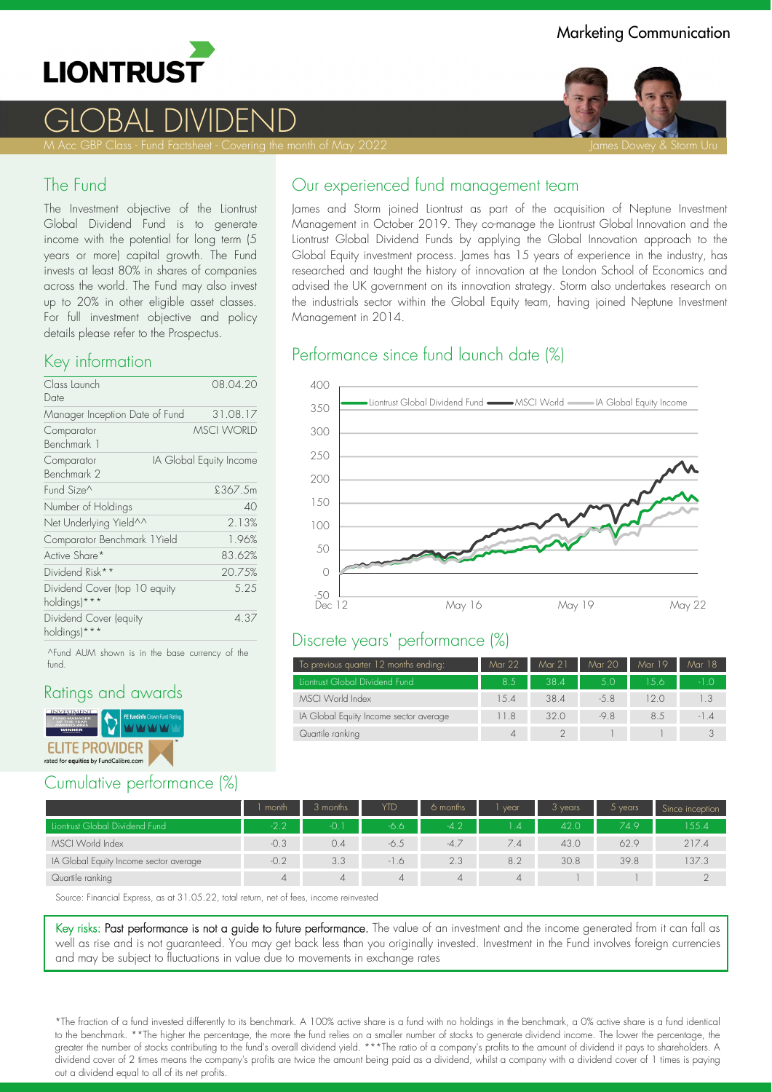

# GLOBAL DIVIDEND

#### The Fund

The Investment objective of the Liontrust Global Dividend Fund is to generate income with the potential for long term (5 years or more) capital growth. The Fund invests at least 80% in shares of companies across the world. The Fund may also invest up to 20% in other eligible asset classes. For full investment objective and policy details please refer to the Prospectus.

#### Key information

| Class Launch                                  | 08.04.20                |
|-----------------------------------------------|-------------------------|
| Date                                          |                         |
| Manager Inception Date of Fund                | 31.08.17                |
| Comparator<br>Benchmark 1                     | <b>MSCI WORLD</b>       |
| Comparator<br>Benchmark 2                     | IA Global Equity Income |
| Fund Size^                                    | £367.5m                 |
| Number of Holdings                            | 40                      |
| Net Underlying Yield^^                        | 2.13%                   |
| Comparator Benchmark 1Yield                   | 1.96%                   |
| Active Share*                                 | 83.62%                  |
| Dividend Risk**                               | 20.75%                  |
| Dividend Cover (top 10 equity<br>holdings)*** | 5.25                    |
| Dividend Cover (equity<br>holdings)***        | 4.37                    |

^Fund AUM shown is in the base currency of the fund.

#### Ratings and awards



### Cumulative performance (%)

James and Storm joined Liontrust as part of the acquisition of Neptune Investment Management in October 2019. They co-manage the Liontrust Global Innovation and the Liontrust Global Dividend Funds by applying the Global Innovation approach to the Global Equity investment process. James has 15 years of experience in the industry, has researched and taught the history of innovation at the London School of Economics and advised the UK government on its innovation strategy. Storm also undertakes research on the industrials sector within the Global Equity team, having joined Neptune Investment Management in 2014.

## Performance since fund launch date (%)



#### Discrete years' performance (%)

| To previous quarter 12 months ending:  | Mar 22      | Mar 21 | Mar 20 | Mar 19 | Mar 18 |
|----------------------------------------|-------------|--------|--------|--------|--------|
| Liontrust Global Dividend Fund         | 8.5         | 38.4   | 5.0    | 156    | $-1.0$ |
| MSCI World Index                       | 1.5.4       | 38.4   | $-5.8$ | 12 O   | 1.3    |
| IA Global Equity Income sector average | 11.8        | 320    | $-9.8$ | 8.5    | $-1.4$ |
| Quartile ranking                       | $\varDelta$ |        |        |        |        |

|                                        | month    | 3 months       | YTD    | 6 months       | vear     | 3 years | 5 years | Since inception |
|----------------------------------------|----------|----------------|--------|----------------|----------|---------|---------|-----------------|
| Liontrust Global Dividend Fund         | $-2.2$   | -0. 1          | -6.6   | $-4.2$         | 14       | 42.0    | 749     | 155.4           |
| MSCI World Index                       | $-0.3$   | 0.4            | -6.5   | $-4.7$         | 7.4      | 43.0    | 62.9    | 217.4           |
| IA Global Equity Income sector average | $-0.2$   | 3.3            | $-1.6$ | 2.3            | 8.2      | 30.8    | 39.8    | 137.3           |
| Quartile ranking                       | $\Delta$ | $\overline{4}$ |        | $\overline{4}$ | $\Delta$ |         |         |                 |

Source: Financial Express, as at 31.05.22, total return, net of fees, income reinvested

Key risks: Past performance is not a guide to future performance. The value of an investment and the income generated from it can fall as well as rise and is not guaranteed. You may get back less than you originally invested. Investment in the Fund involves foreign currencies and may be subject to fluctuations in value due to movements in exchange rates

\*The fraction of a fund invested differently to its benchmark. A 100% active share is a fund with no holdings in the benchmark, a 0% active share is a fund identical to the benchmark. \*\*The higher the percentage, the more the fund relies on a smaller number of stocks to generate dividend income. The lower the percentage, the greater the number of stocks contributing to the fund's overall dividend yield. \*\*\*The ratio of a company's profits to the amount of dividend it pays to shareholders. A dividend cover of 2 times means the company's profits are twice the amount being paid as a dividend, whilst a company with a dividend cover of 1 times is paying out a dividend equal to all of its net profits.